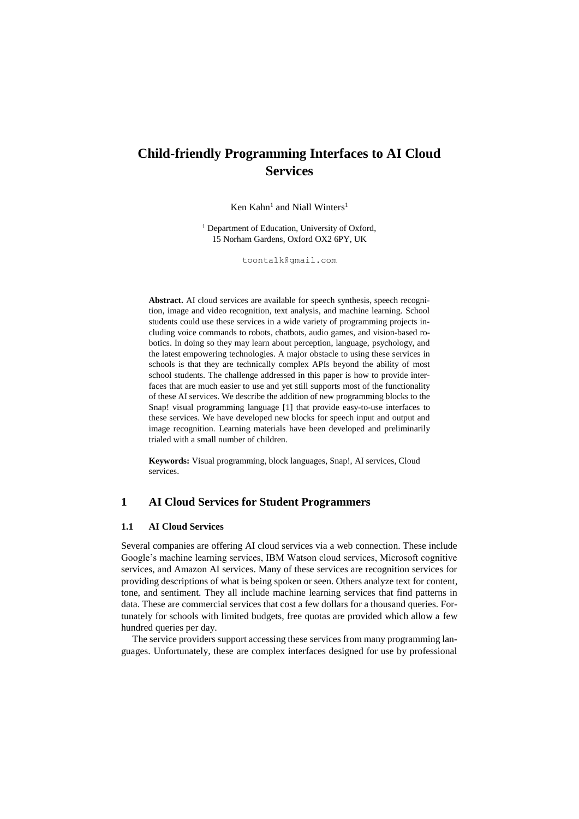# **Child-friendly Programming Interfaces to AI Cloud Services**

 $Ken$  Kahn<sup>1</sup> and Niall Winters<sup>1</sup>

<sup>1</sup> Department of Education, University of Oxford, 15 Norham Gardens, Oxford OX2 6PY, UK

toontalk@gmail.com

**Abstract.** AI cloud services are available for speech synthesis, speech recognition, image and video recognition, text analysis, and machine learning. School students could use these services in a wide variety of programming projects including voice commands to robots, chatbots, audio games, and vision-based robotics. In doing so they may learn about perception, language, psychology, and the latest empowering technologies. A major obstacle to using these services in schools is that they are technically complex APIs beyond the ability of most school students. The challenge addressed in this paper is how to provide interfaces that are much easier to use and yet still supports most of the functionality of these AI services. We describe the addition of new programming blocks to the Snap! visual programming language [1] that provide easy-to-use interfaces to these services. We have developed new blocks for speech input and output and image recognition. Learning materials have been developed and preliminarily trialed with a small number of children.

**Keywords:** Visual programming, block languages, Snap!, AI services, Cloud services.

## **1 AI Cloud Services for Student Programmers**

#### **1.1 AI Cloud Services**

Several companies are offering AI cloud services via a web connection. These include Google's machine learning services, IBM Watson cloud services, Microsoft cognitive services, and Amazon AI services. Many of these services are recognition services for providing descriptions of what is being spoken or seen. Others analyze text for content, tone, and sentiment. They all include machine learning services that find patterns in data. These are commercial services that cost a few dollars for a thousand queries. Fortunately for schools with limited budgets, free quotas are provided which allow a few hundred queries per day.

The service providers support accessing these services from many programming languages. Unfortunately, these are complex interfaces designed for use by professional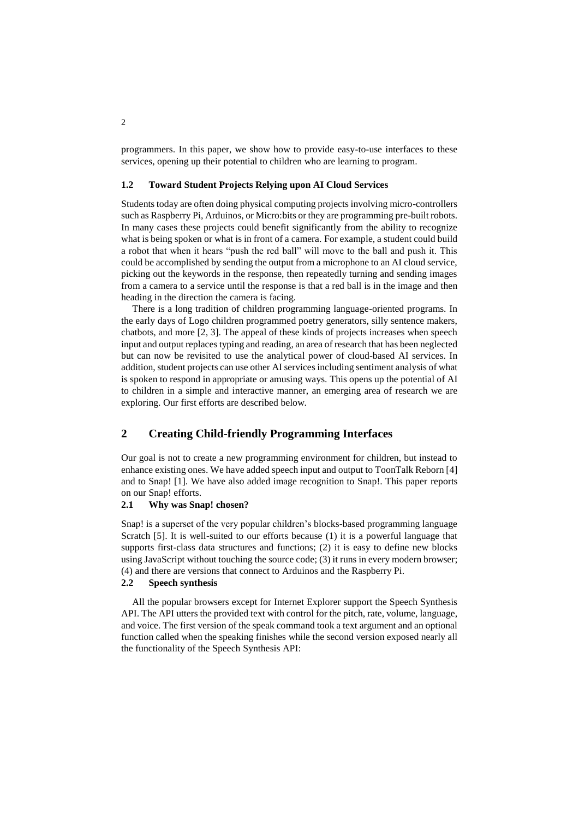programmers. In this paper, we show how to provide easy-to-use interfaces to these services, opening up their potential to children who are learning to program.

#### **1.2 Toward Student Projects Relying upon AI Cloud Services**

Students today are often doing physical computing projects involving micro-controllers such as Raspberry Pi, Arduinos, or Micro:bits or they are programming pre-built robots. In many cases these projects could benefit significantly from the ability to recognize what is being spoken or what is in front of a camera. For example, a student could build a robot that when it hears "push the red ball" will move to the ball and push it. This could be accomplished by sending the output from a microphone to an AI cloud service, picking out the keywords in the response, then repeatedly turning and sending images from a camera to a service until the response is that a red ball is in the image and then heading in the direction the camera is facing.

There is a long tradition of children programming language-oriented programs. In the early days of Logo children programmed poetry generators, silly sentence makers, chatbots, and more [2, 3]. The appeal of these kinds of projects increases when speech input and output replaces typing and reading, an area of research that has been neglected but can now be revisited to use the analytical power of cloud-based AI services. In addition, student projects can use other AI services including sentiment analysis of what is spoken to respond in appropriate or amusing ways. This opens up the potential of AI to children in a simple and interactive manner, an emerging area of research we are exploring. Our first efforts are described below.

## **2 Creating Child-friendly Programming Interfaces**

Our goal is not to create a new programming environment for children, but instead to enhance existing ones. We have added speech input and output to ToonTalk Reborn [4] and to Snap! [1]. We have also added image recognition to Snap!. This paper reports on our Snap! efforts.

### **2.1 Why was Snap! chosen?**

Snap! is a superset of the very popular children's blocks-based programming language Scratch [5]. It is well-suited to our efforts because (1) it is a powerful language that supports first-class data structures and functions; (2) it is easy to define new blocks using JavaScript without touching the source code; (3) it runs in every modern browser; (4) and there are versions that connect to Arduinos and the Raspberry Pi.

#### **2.2 Speech synthesis**

All the popular browsers except for Internet Explorer support the Speech Synthesis API. The API utters the provided text with control for the pitch, rate, volume, language, and voice. The first version of the speak command took a text argument and an optional function called when the speaking finishes while the second version exposed nearly all the functionality of the Speech Synthesis API: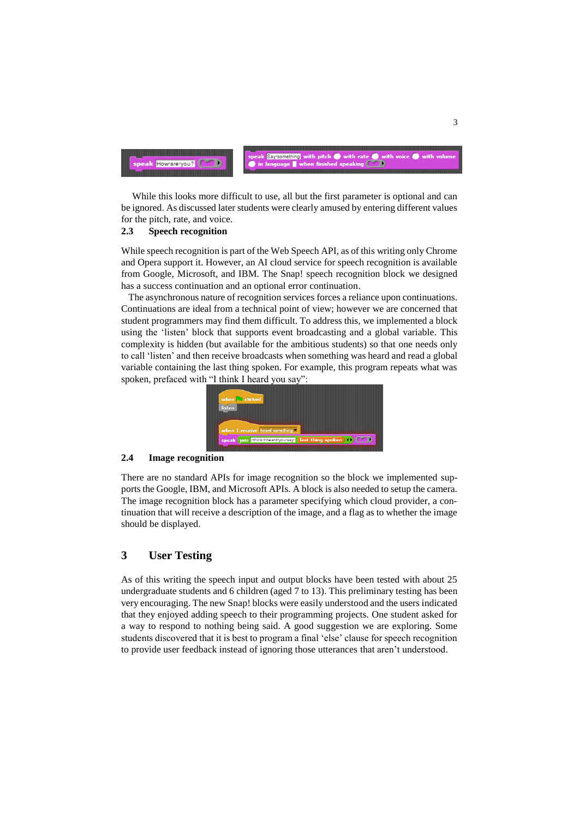ak <mark>How are you?</mark>

While this looks more difficult to use, all but the first parameter is optional and can be ignored. As discussed later students were clearly amused by entering different values for the pitch, rate, and voice.

#### **2.3 Speech recognition**

While speech recognition is part of the Web Speech API, as of this writing only Chrome and Opera support it. However, an AI cloud service for speech recognition is available from Google, Microsoft, and IBM. The Snap! speech recognition block we designed has a success continuation and an optional error continuation.

 The asynchronous nature of recognition services forces a reliance upon continuations. Continuations are ideal from a technical point of view; however we are concerned that student programmers may find them difficult. To address this, we implemented a block using the 'listen' block that supports event broadcasting and a global variable. This complexity is hidden (but available for the ambitious students) so that one needs only to call 'listen' and then receive broadcasts when something was heard and read a global variable containing the last thing spoken. For example, this program repeats what was spoken, prefaced with "I think I heard you say":



#### **2.4 Image recognition**

There are no standard APIs for image recognition so the block we implemented supports the Google, IBM, and Microsoft APIs. A block is also needed to setup the camera. The image recognition block has a parameter specifying which cloud provider, a continuation that will receive a description of the image, and a flag as to whether the image should be displayed.

### **3 User Testing**

As of this writing the speech input and output blocks have been tested with about 25 undergraduate students and 6 children (aged 7 to 13). This preliminary testing has been very encouraging. The new Snap! blocks were easily understood and the users indicated that they enjoyed adding speech to their programming projects. One student asked for a way to respond to nothing being said. A good suggestion we are exploring. Some students discovered that it is best to program a final 'else' clause for speech recognition to provide user feedback instead of ignoring those utterances that aren't understood.